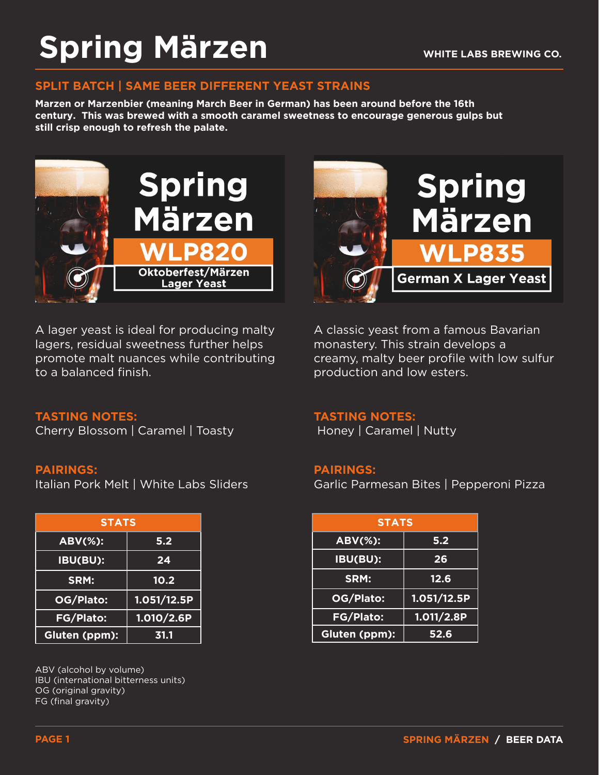## **Spring Märzen**

### **SPLIT BATCH | SAME BEER DIFFERENT YEAST STRAINS**

**Marzen or Marzenbier (meaning March Beer in German) has been around before the 16th century. This was brewed with a smooth caramel sweetness to encourage generous gulps but still crisp enough to refresh the palate.** 



A lager yeast is ideal for producing malty lagers, residual sweetness further helps promote malt nuances while contributing to a balanced finish.



A classic yeast from a famous Bavarian monastery. This strain develops a creamy, malty beer profile with low sulfur production and low esters.

### **TASTING NOTES:**

Honey | Caramel | Nutty

### **PAIRINGS:**

Garlic Parmesan Bites | Pepperoni Pizza

| <b>STATS</b> |             | <b>STATS</b>   |             |
|--------------|-------------|----------------|-------------|
| Ŧ.           | 5.2         | <b>ABV(%):</b> | 5.2         |
| H            | 24          | IBU(BU):       | 26          |
|              | 10.2        | SRM:           | 12.6        |
| :כ           | 1.051/12.5P | OG/Plato:      | 1.051/12.5P |
| $\mathbf{S}$ | 1.010/2.6P  | FG/Plato:      | 1.011/2.8P  |
| $m$ ):       | 31.1        | Gluten (ppm):  | 52.6        |

## **TASTING NOTES:**

Cherry Blossom | Caramel | Toasty

### **PAIRINGS:**

Italian Pork Melt | White Labs Sliders

| <b>STATS</b>     |             |
|------------------|-------------|
| <b>ABV(%):</b>   | 5.2         |
| <b>IBU(BU):</b>  | 24          |
| SRM:             | 10.2        |
| OG/Plato:        | 1.051/12.5P |
| <b>FG/Plato:</b> | 1.010/2.6P  |
| Gluten (ppm):    | 31.1        |

ABV (alcohol by volume) IBU (international bitterness units) OG (original gravity) FG (final gravity)